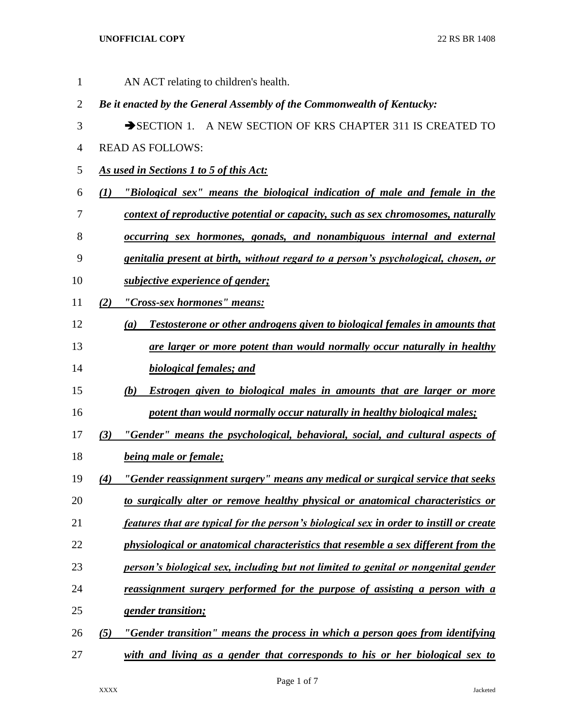## **UNOFFICIAL COPY** 22 RS BR 1408

| $\mathbf{1}$   |     | AN ACT relating to children's health.                                                   |
|----------------|-----|-----------------------------------------------------------------------------------------|
| $\overline{2}$ |     | Be it enacted by the General Assembly of the Commonwealth of Kentucky:                  |
| 3              |     | SECTION 1. A NEW SECTION OF KRS CHAPTER 311 IS CREATED TO                               |
| 4              |     | <b>READ AS FOLLOWS:</b>                                                                 |
| 5              |     | As used in Sections 1 to 5 of this Act:                                                 |
| 6              | (I) | "Biological sex" means the biological indication of male and female in the              |
| 7              |     | context of reproductive potential or capacity, such as sex chromosomes, naturally       |
| 8              |     | occurring sex hormones, gonads, and nonambiguous internal and external                  |
| 9              |     | genitalia present at birth, without regard to a person's psychological, chosen, or      |
| 10             |     | <i>subjective experience of gender;</i>                                                 |
| 11             | (2) | "Cross-sex hormones" means:                                                             |
| 12             |     | Testosterone or other androgens given to biological females in amounts that<br>(a)      |
| 13             |     | are larger or more potent than would normally occur naturally in healthy                |
| 14             |     | <b>biological females; and</b>                                                          |
| 15             |     | Estrogen given to biological males in amounts that are larger or more<br>(b)            |
| 16             |     | potent than would normally occur naturally in healthy biological males;                 |
| 17             | (3) | "Gender" means the psychological, behavioral, social, and cultural aspects of           |
| 18             |     | <b>being male or female;</b>                                                            |
| 19             | (4) | "Gender reassignment surgery" means any medical or surgical service that seeks          |
| 20             |     | to surgically alter or remove healthy physical or anatomical characteristics or         |
| 21             |     | features that are typical for the person's biological sex in order to instill or create |
| 22             |     | physiological or anatomical characteristics that resemble a sex different from the      |
| 23             |     | person's biological sex, including but not limited to genital or nongenital gender      |
| 24             |     | reassignment surgery performed for the purpose of assisting a person with a             |
| 25             |     | gender transition;                                                                      |
| 26             | (5) | "Gender transition" means the process in which a person goes from identifying           |
| 27             |     | with and living as a gender that corresponds to his or her biological sex to            |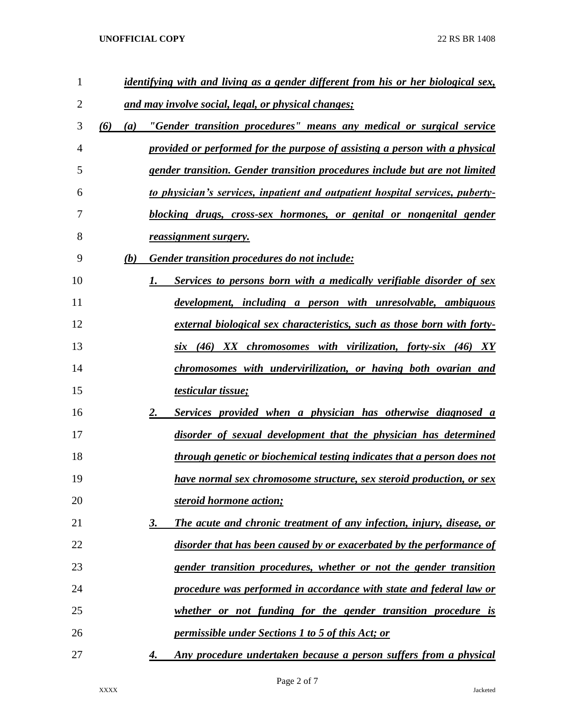## **UNOFFICIAL COPY** 22 RS BR 1408

| $\mathbf{1}$ |     |     | <u>identifying with and living as a gender different from his or her biological sex,</u> |
|--------------|-----|-----|------------------------------------------------------------------------------------------|
| 2            |     |     | and may involve social, legal, or physical changes;                                      |
| 3            | (6) | (a) | "Gender transition procedures" means any medical or surgical service                     |
| 4            |     |     | provided or performed for the purpose of assisting a person with a physical              |
| 5            |     |     | gender transition. Gender transition procedures include but are not limited              |
| 6            |     |     | to physician's services, inpatient and outpatient hospital services, puberty-            |
| 7            |     |     | blocking drugs, cross-sex hormones, or genital or nongenital gender                      |
| 8            |     |     | reassignment surgery.                                                                    |
| 9            |     | (b) | Gender transition procedures do not include:                                             |
| 10           |     |     | Services to persons born with a medically verifiable disorder of sex<br>1.               |
| 11           |     |     | development, including a person with unresolvable, ambiguous                             |
| 12           |     |     | external biological sex characteristics, such as those born with forty-                  |
| 13           |     |     | six (46) XX chromosomes with virilization, forty-six (46) XY                             |
| 14           |     |     | chromosomes with undervirilization, or having both ovarian and                           |
| 15           |     |     | <u>testicular tissue;</u>                                                                |
| 16           |     |     | Services provided when a physician has otherwise diagnosed a<br>2.                       |
| 17           |     |     | disorder of sexual development that the physician has determined                         |
| 18           |     |     | through genetic or biochemical testing indicates that a person does not                  |
| 19           |     |     | have normal sex chromosome structure, sex steroid production, or sex                     |
| 20           |     |     | steroid hormone action;                                                                  |
| 21           |     |     | The acute and chronic treatment of any infection, injury, disease, or<br>3.              |
| 22           |     |     | disorder that has been caused by or exacerbated by the performance of                    |
| 23           |     |     | gender transition procedures, whether or not the gender transition                       |
| 24           |     |     | procedure was performed in accordance with state and federal law or                      |
| 25           |     |     | whether or not funding for the gender transition procedure is                            |
| 26           |     |     | <i>permissible under Sections 1 to 5 of this Act; or</i>                                 |
| 27           |     |     | Any procedure undertaken because a person suffers from a physical<br>4.                  |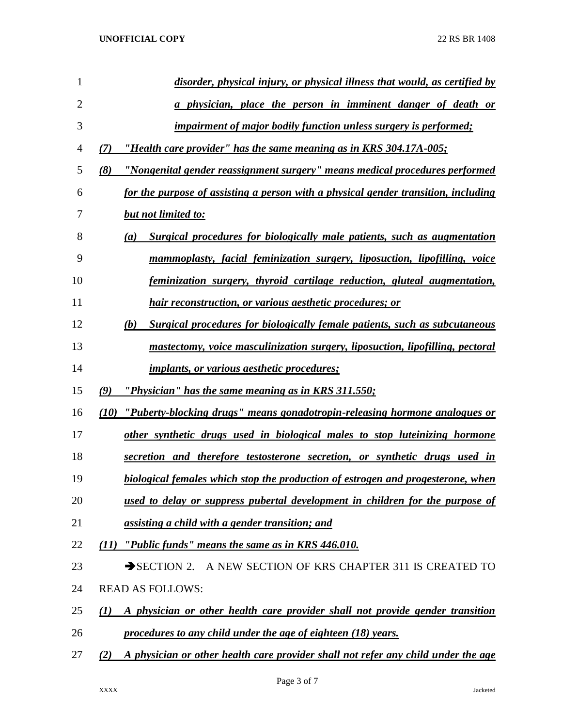| $\mathbf{1}$   | disorder, physical injury, or physical illness that would, as certified by                        |
|----------------|---------------------------------------------------------------------------------------------------|
| $\overline{2}$ | a physician, place the person in imminent danger of death or                                      |
| 3              | <i>impairment of major bodily function unless surgery is performed;</i>                           |
| 4              | "Health care provider" has the same meaning as in KRS 304.17A-005;<br>(7)                         |
| 5              | (8)<br><u>"Nongenital gender reassignment surgery" means medical procedures performed</u>         |
| 6              | for the purpose of assisting a person with a physical gender transition, including                |
| 7              | <b>but not limited to:</b>                                                                        |
| 8              | Surgical procedures for biologically male patients, such as augmentation<br>$\left(a\right)$      |
| 9              | mammoplasty, facial feminization surgery, liposuction, lipofilling, voice                         |
| 10             | feminization surgery, thyroid cartilage reduction, gluteal augmentation,                          |
| 11             | hair reconstruction, or various aesthetic procedures; or                                          |
| 12             | <b>Surgical procedures for biologically female patients, such as subcutaneous</b><br>(b)          |
| 13             | mastectomy, voice masculinization surgery, liposuction, lipofilling, pectoral                     |
| 14             | <i>implants, or various aesthetic procedures;</i>                                                 |
| 15             | "Physician" has the same meaning as in KRS 311.550;<br>(9)                                        |
| 16             | "Puberty-blocking drugs" means gonadotropin-releasing hormone analogues or<br>(10)                |
| 17             | other synthetic drugs used in biological males to stop luteinizing hormone                        |
| 18             | secretion and therefore testosterone secretion, or synthetic drugs used in                        |
| 19             | biological females which stop the production of estrogen and progesterone, when                   |
| 20             | used to delay or suppress pubertal development in children for the purpose of                     |
| 21             | assisting a child with a gender transition; and                                                   |
| 22             | "Public funds" means the same as in KRS 446.010.<br>(11)                                          |
| 23             | A NEW SECTION OF KRS CHAPTER 311 IS CREATED TO<br>$\rightarrow$ SECTION 2.                        |
| 24             | <b>READ AS FOLLOWS:</b>                                                                           |
| 25             | A physician or other health care provider shall not provide gender transition<br>$\mathcal{L}(I)$ |
| 26             | procedures to any child under the age of eighteen (18) years.                                     |
| 27             | A physician or other health care provider shall not refer any child under the age<br>(2)          |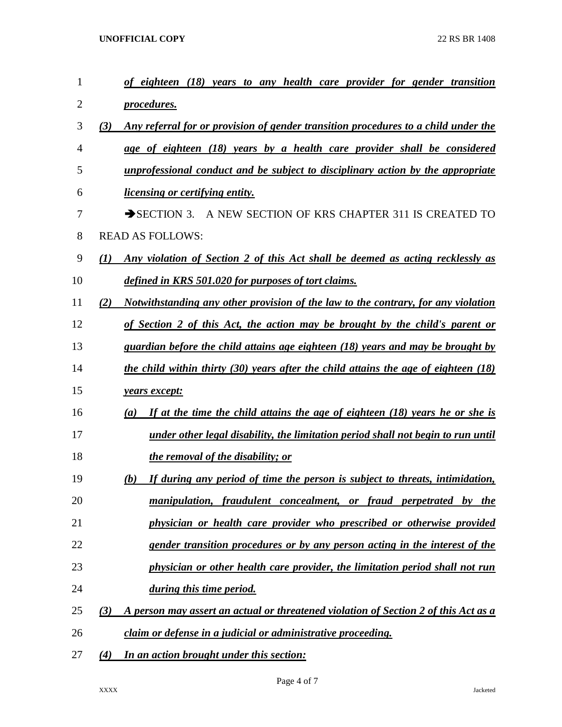**UNOFFICIAL COPY** 22 RS BR 1408

| $\mathbf{1}$ | to any health care provider for gender transition<br>of eighteen (18)<br>years                     |
|--------------|----------------------------------------------------------------------------------------------------|
| 2            | <i>procedures.</i>                                                                                 |
| 3            | Any referral for or provision of gender transition procedures to a child under the<br>(3)          |
| 4            | age of eighteen (18) years by a health care provider shall be considered                           |
| 5            | unprofessional conduct and be subject to disciplinary action by the appropriate                    |
| 6            | <u>licensing or certifying entity.</u>                                                             |
| 7            | $\rightarrow$ SECTION 3.<br>A NEW SECTION OF KRS CHAPTER 311 IS CREATED TO                         |
| 8            | <b>READ AS FOLLOWS:</b>                                                                            |
| 9            | Any violation of Section 2 of this Act shall be deemed as acting recklessly as<br>$\mathcal{L}(I)$ |
| 10           | defined in KRS 501.020 for purposes of tort claims.                                                |
| 11           | Notwithstanding any other provision of the law to the contrary, for any violation<br>(2)           |
| 12           | of Section 2 of this Act, the action may be brought by the child's parent or                       |
| 13           | guardian before the child attains age eighteen (18) years and may be brought by                    |
| 14           | the child within thirty (30) years after the child attains the age of eighteen (18)                |
| 15           | years except:                                                                                      |
| 16           | If at the time the child attains the age of eighteen (18) years he or she is<br>(a)                |
| 17           | under other legal disability, the limitation period shall not begin to run until                   |
| 18           | the removal of the disability; or                                                                  |
| 19           | If during any period of time the person is subject to threats, intimidation,<br>(b)                |
| 20           | manipulation, fraudulent concealment, or fraud perpetrated by the                                  |
| 21           | physician or health care provider who prescribed or otherwise provided                             |
| 22           | gender transition procedures or by any person acting in the interest of the                        |
| 23           | physician or other health care provider, the limitation period shall not run                       |
| 24           | during this time period.                                                                           |
| 25           | (3)<br>A person may assert an actual or threatened violation of Section 2 of this Act as a         |
| 26           | claim or defense in a judicial or administrative proceeding.                                       |
| 27           | In an action brought under this section:<br>(4)                                                    |

Page 4 of 7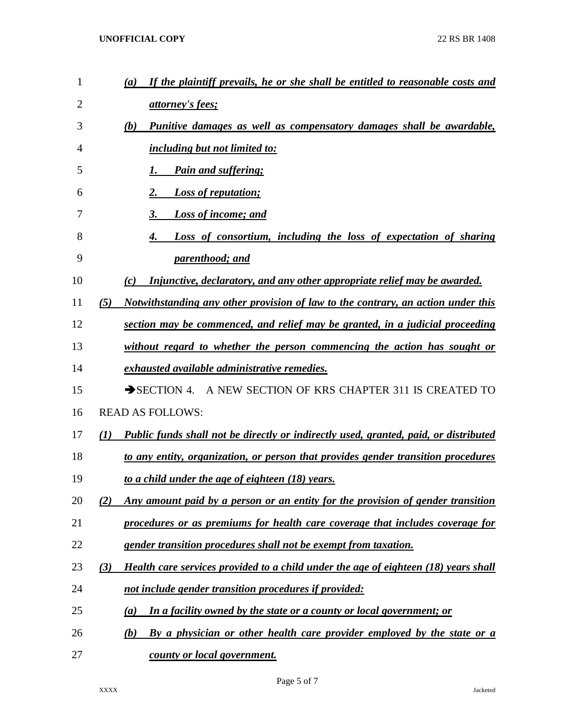| $\mathbf{1}$   | If the plaintiff prevails, he or she shall be entitled to reasonable costs and<br>(a)              |
|----------------|----------------------------------------------------------------------------------------------------|
| $\overline{2}$ | <i>attorney's fees;</i>                                                                            |
| 3              | Punitive damages as well as compensatory damages shall be awardable,<br>(b)                        |
| 4              | <i><u>including but not limited to:</u></i>                                                        |
| 5              | <b>Pain and suffering;</b><br>1.                                                                   |
| 6              | <b>Loss of reputation;</b><br>2.                                                                   |
| 7              | 3.<br><b>Loss of income; and</b>                                                                   |
| 8              | Loss of consortium, including the loss of expectation of sharing<br>4.                             |
| 9              | parenthood; and                                                                                    |
| 10             | Injunctive, declaratory, and any other appropriate relief may be awarded.<br>(c)                   |
| 11             | Notwithstanding any other provision of law to the contrary, an action under this<br>(5)            |
| 12             | section may be commenced, and relief may be granted, in a judicial proceeding                      |
| 13             | without regard to whether the person commencing the action has sought or                           |
| 14             | exhausted available administrative remedies.                                                       |
| 15             | SECTION 4. A NEW SECTION OF KRS CHAPTER 311 IS CREATED TO                                          |
| 16             | <b>READ AS FOLLOWS:</b>                                                                            |
| 17             | <b>Public funds shall not be directly or indirectly used, granted, paid, or distributed</b><br>(1) |
| 18             | to any entity, organization, or person that provides gender transition procedures                  |
| 19             | to a child under the age of eighteen (18) years.                                                   |
| 20             | Any amount paid by a person or an entity for the provision of gender transition<br>(2)             |
| 21             | procedures or as premiums for health care coverage that includes coverage for                      |
| 22             | gender transition procedures shall not be exempt from taxation.                                    |
| 23             | (3)<br>Health care services provided to a child under the age of eighteen (18) years shall         |
| 24             | not include gender transition procedures if provided:                                              |
| 25             | In a facility owned by the state or a county or local government; or<br>(a)                        |
| 26             | By a physician or other health care provider employed by the state or a<br>(b)                     |
| 27             | county or local government.                                                                        |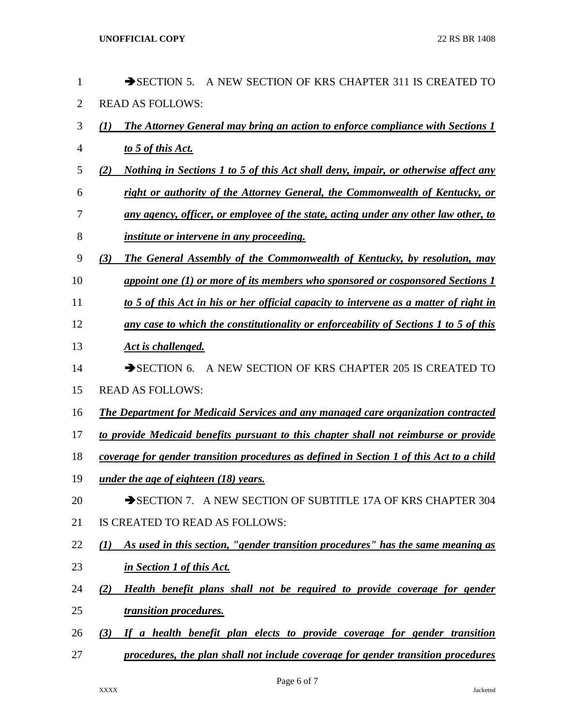| 1              | $\rightarrow$ SECTION 5.<br>A NEW SECTION OF KRS CHAPTER 311 IS CREATED TO                   |
|----------------|----------------------------------------------------------------------------------------------|
| $\overline{2}$ | <b>READ AS FOLLOWS:</b>                                                                      |
| 3              | <b>The Attorney General may bring an action to enforce compliance with Sections 1</b><br>(1) |
| 4              | to 5 of this Act.                                                                            |
| 5              | Nothing in Sections 1 to 5 of this Act shall deny, impair, or otherwise affect any<br>(2)    |
| 6              | right or authority of the Attorney General, the Commonwealth of Kentucky, or                 |
| 7              | any agency, officer, or employee of the state, acting under any other law other, to          |
| 8              | <i>institute or intervene in any proceeding.</i>                                             |
| 9              | The General Assembly of the Commonwealth of Kentucky, by resolution, may<br>(3)              |
| 10             | appoint one (1) or more of its members who sponsored or cosponsored Sections 1               |
| 11             | to 5 of this Act in his or her official capacity to intervene as a matter of right in        |
| 12             | any case to which the constitutionality or enforceability of Sections 1 to 5 of this         |
| 13             | Act is challenged.                                                                           |
| 14             | A NEW SECTION OF KRS CHAPTER 205 IS CREATED TO<br>$\rightarrow$ SECTION 6.                   |
| 15             | <b>READ AS FOLLOWS:</b>                                                                      |
| 16             | The Department for Medicaid Services and any managed care organization contracted            |
| 17             | to provide Medicaid benefits pursuant to this chapter shall not reimburse or provide         |
| 18             | coverage for gender transition procedures as defined in Section 1 of this Act to a child     |
| 19             | under the age of eighteen $(18)$ years.                                                      |
| 20             | SECTION 7. A NEW SECTION OF SUBTITLE 17A OF KRS CHAPTER 304                                  |
| 21             | IS CREATED TO READ AS FOLLOWS:                                                               |
| 22             | As used in this section, "gender transition procedures" has the same meaning as<br>(I)       |
| 23             | in Section 1 of this Act.                                                                    |
| 24             | Health benefit plans shall not be required to provide coverage for gender<br>(2)             |
| 25             | transition procedures.                                                                       |
| 26             | If a health benefit plan elects to provide coverage for gender transition<br>(3)             |
| 27             | procedures, the plan shall not include coverage for gender transition procedures             |

Page 6 of 7